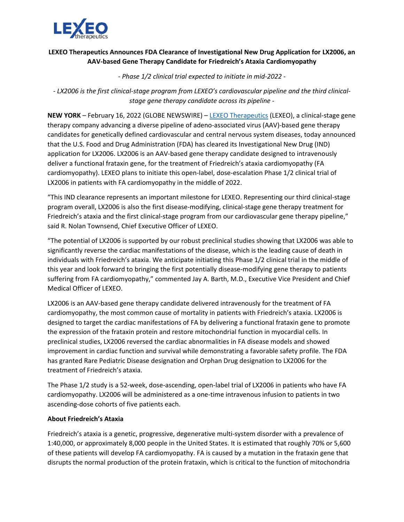

# **LEXEO Therapeutics Announces FDA Clearance of Investigational New Drug Application for LX2006, an AAV-based Gene Therapy Candidate for Friedreich's Ataxia Cardiomyopathy**

*- Phase 1/2 clinical trial expected to initiate in mid-2022 -*

*- LX2006 is the first clinical-stage program from LEXEO's cardiovascular pipeline and the third clinicalstage gene therapy candidate across its pipeline -*

**NEW YORK** – February 16, 2022 (GLOBE NEWSWIRE) – LEXEO [Therapeutics](https://www.lexeotx.com/) (LEXEO), a clinical-stage gene therapy company advancing a diverse pipeline of adeno-associated virus (AAV)-based gene therapy candidates for genetically defined cardiovascular and central nervous system diseases, today announced that the U.S. Food and Drug Administration (FDA) has cleared its Investigational New Drug (IND) application for LX2006. LX2006 is an AAV-based gene therapy candidate designed to intravenously deliver a functional frataxin gene, for the treatment of Friedreich's ataxia cardiomyopathy (FA cardiomyopathy). LEXEO plans to initiate this open-label, dose-escalation Phase 1/2 clinical trial of LX2006 in patients with FA cardiomyopathy in the middle of 2022.

"This IND clearance represents an important milestone for LEXEO. Representing our third clinical-stage program overall, LX2006 is also the first disease-modifying, clinical-stage gene therapy treatment for Friedreich's ataxia and the first clinical-stage program from our cardiovascular gene therapy pipeline," said R. Nolan Townsend, Chief Executive Officer of LEXEO.

"The potential of LX2006 is supported by our robust preclinical studies showing that LX2006 was able to significantly reverse the cardiac manifestations of the disease, which is the leading cause of death in individuals with Friedreich's ataxia. We anticipate initiating this Phase 1/2 clinical trial in the middle of this year and look forward to bringing the first potentially disease-modifying gene therapy to patients suffering from FA cardiomyopathy," commented Jay A. Barth, M.D., Executive Vice President and Chief Medical Officer of LEXEO.

LX2006 is an AAV-based gene therapy candidate delivered intravenously for the treatment of FA cardiomyopathy, the most common cause of mortality in patients with Friedreich's ataxia. LX2006 is designed to target the cardiac manifestations of FA by delivering a functional frataxin gene to promote the expression of the frataxin protein and restore mitochondrial function in myocardial cells. In preclinical studies, LX2006 reversed the cardiac abnormalities in FA disease models and showed improvement in cardiac function and survival while demonstrating a favorable safety profile. The FDA has granted Rare Pediatric Disease designation and Orphan Drug designation to LX2006 for the treatment of Friedreich's ataxia.

The Phase 1/2 study is a 52-week, dose-ascending, open-label trial of LX2006 in patients who have FA cardiomyopathy. LX2006 will be administered as a one-time intravenous infusion to patients in two ascending-dose cohorts of five patients each.

### **About Friedreich's Ataxia**

Friedreich's ataxia is a genetic, progressive, degenerative multi-system disorder with a prevalence of 1:40,000, or approximately 8,000 people in the United States. It is estimated that roughly 70% or 5,600 of these patients will develop FA cardiomyopathy. FA is caused by a mutation in the frataxin gene that disrupts the normal production of the protein frataxin, which is critical to the function of mitochondria